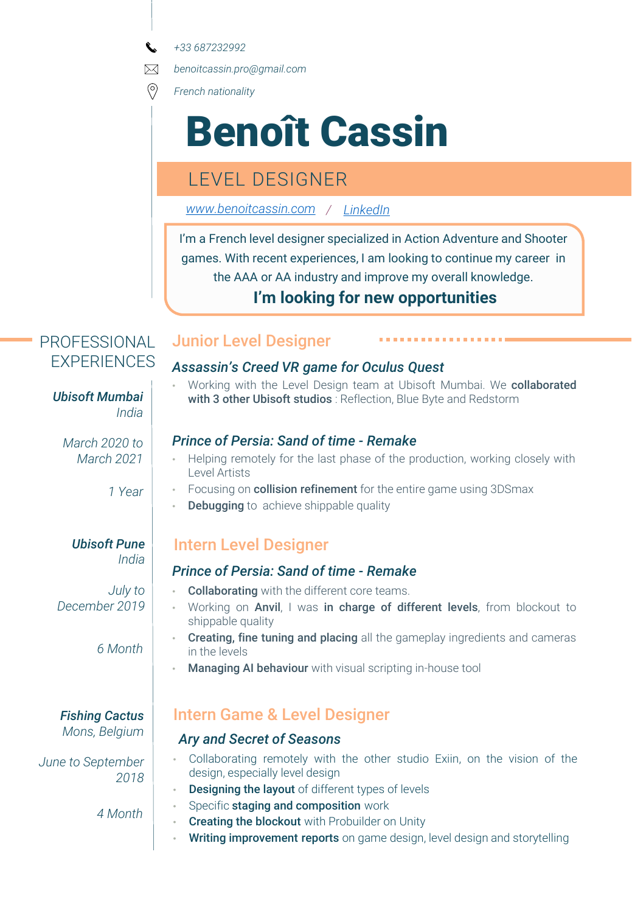*+33 687232992*

 $\boxtimes$ *benoitcassin.pro@gmail.com*

 $\circledcirc$ *French nationality*

# Benoît Cassin

# LEVEL DESIGNER

*[www.benoitcassin.com](http://www.benoitcassin.com/)  / [LinkedIn](https://www.linkedin.com/in/benoit-cassin/)*

I'm a French level designer specialized in Action Adventure and Shooter games. With recent experiences, I am looking to continue my career in the AAA or AA industry and improve my overall knowledge.

## **I'm looking for new opportunities**

## PROFESSIONAL EXPERIENCES

## Junior Level Designer

#### *Assassin's Creed VR game for Oculus Quest*

• Working with the Level Design team at Ubisoft Mumbai. We collaborated **Ubisoft Mumbai** with 3 other Ubisoft studios : Reflection, Blue Byte and Redstorm

#### *Prince of Persia: Sand of time - Remake*

- Helping remotely for the last phase of the production, working closely with Level Artists
- Focusing on **collision refinement** for the entire game using 3DSmax
- **Debugging** to achieve shippable quality

# Intern Level Designer

#### *Prince of Persia: Sand of time - Remake*

- Collaborating with the different core teams.
- Working on Anvil, I was in charge of different levels, from blockout to shippable quality
- Creating, fine tuning and placing all the gameplay ingredients and cameras in the levels
- Managing AI behaviour with visual scripting in-house tool

## Intern Game & Level Designer

#### *Ary and Secret of Seasons*

- Collaborating remotely with the other studio Exiin, on the vision of the design, especially level design
- **Designing the layout** of different types of levels
- Specific staging and composition work
- **Creating the blockout** with Probuilder on Unity
- **Writing improvement reports** on game design, level design and storytelling

*March 2020 to March 2021*

*1 Year*

*India*

#### *Ubisoft Pune India*

*July to December 2019*

*6 Month*

*Fishing Cactus Mons, Belgium*

*June to September 2018*

*4 Month*